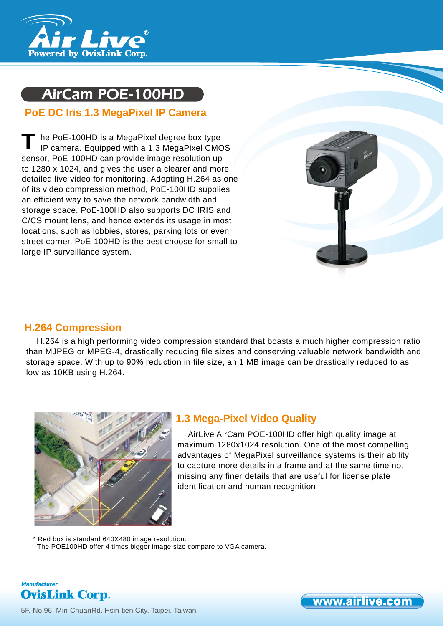

# AirCam POE-100HD

# **PoE DC Iris 1.3 MegaPixel IP Camera**

he PoE-100HD is a MegaPixel degree box type IP camera. Equipped with a 1.3 MegaPixel CMOS sensor, PoE-100HD can provide image resolution up to 1280 x 1024, and gives the user a clearer and more detailed live video for monitoring. Adopting H.264 as one of its video compression method, PoE-100HD supplies an efficient way to save the network bandwidth and storage space. PoE-100HD also supports DC IRIS and C/CS mount lens, and hence extends its usage in most locations, such as lobbies, stores, parking lots or even street corner. PoE-100HD is the best choose for small to large IP surveillance system. **T**



# **H.264 Compression**

H.264 is a high performing video compression standard that boasts a much higher compression ratio than MJPEG or MPEG-4, drastically reducing file sizes and conserving valuable network bandwidth and storage space. With up to 90% reduction in file size, an 1 MB image can be drastically reduced to as low as 10KB using H.264.



# **1.3 Mega-Pixel Video Quality**

AirLive AirCam POE-100HD offer high quality image at maximum 1280x1024 resolution. One of the most compelling advantages of MegaPixel surveillance systems is their ability to capture more details in a frame and at the same time not missing any finer details that are useful for license plate identification and human recognition

\* Red box is standard 640X480 image resolution. The POE100HD offer 4 times bigger image size compare to VGA camera.



5F, No.96, Min-ChuanRd, Hsin-tien City, Taipei, Taiwan

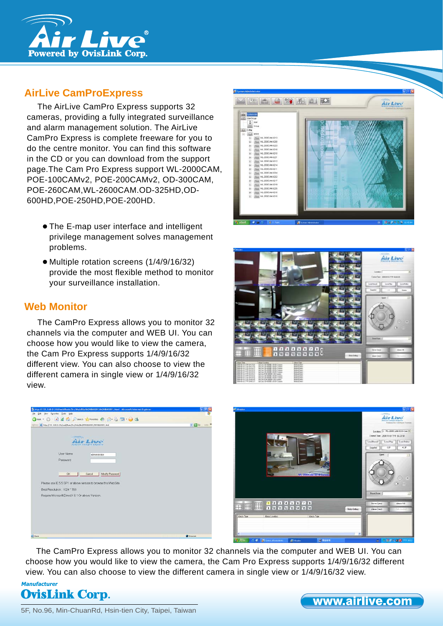

# **AirLive CamProExpress**

The AirLive CamPro Express supports 32 cameras, providing a fully integrated surveillance and alarm management solution. The AirLive CamPro Express is complete freeware for you to do the centre monitor. You can find this software in the CD or you can download from the support page.The Cam Pro Express support WL-2000CAM, POE-100CAMv2, POE-200CAMv2, OD-300CAM, POE-260CAM,WL-2600CAM.OD-325HD,OD-600HD,POE-250HD,POE-200HD.

- The E-map user interface and intelligent privilege management solves management problems.
- Multiple rotation screens (1/4/9/16/32) provide the most flexible method to monitor your surveillance installation.

# **Web Monitor**

The CamPro Express allows you to monitor 32 channels via the computer and WEB UI. You can choose how you would like to view the camera, the Cam Pro Express supports 1/4/9/16/32 different view. You can also choose to view the different camera in single view or 1/4/9/16/32 view.









The CamPro Express allows you to monitor 32 channels via the computer and WEB UI. You can choose how you would like to view the camera, the Cam Pro Express supports 1/4/9/16/32 different view. You can also choose to view the different camera in single view or 1/4/9/16/32 view.



5F, No.96, Min-ChuanRd, Hsin-tien City, Taipei, Taiwan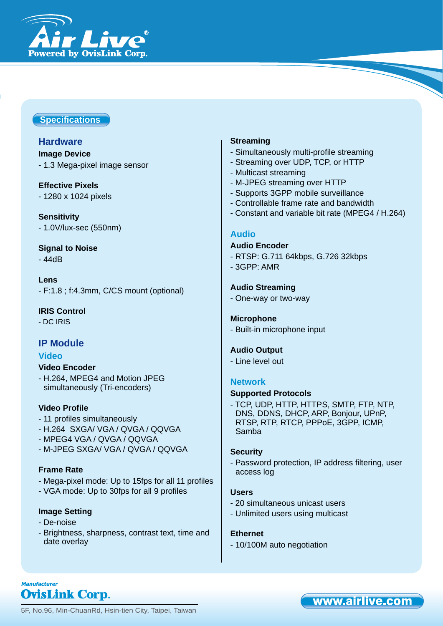

### **Specifi cations**

# **Hardware**

- **Image Device**
- 1.3 Mega-pixel image sensor

#### **Effective Pixels**

- 1280 x 1024 pixels

**Sensitivity** - 1.0V/lux-sec (550nm)

**Signal to Noise** - 44dB

**Lens** - F:1.8 ; f:4.3mm, C/CS mount (optional)

**IRIS Control** - DC IRIS

# **IP Module**

#### **Video**

#### **Video Encoder**

- H.264, MPEG4 and Motion JPEG simultaneously (Tri-encoders)

#### **Video Profile**

- 11 profiles simultaneously
- H.264 SXGA/ VGA / QVGA / QQVGA
- MPEG4 VGA / QVGA / QQVGA
- M-JPEG SXGA/ VGA / QVGA / QQVGA

#### **Frame Rate**

- Mega-pixel mode: Up to 15fps for all 11 profiles
- VGA mode: Up to 30fps for all 9 profiles

### **Image Setting**

- De-noise
- Brightness, sharpness, contrast text, time and date overlay

#### **Streaming**

- Simultaneously multi-profile streaming
- Streaming over UDP, TCP, or HTTP
- Multicast streaming
- M-JPEG streaming over HTTP
- Supports 3GPP mobile surveillance
- Controllable frame rate and bandwidth
- Constant and variable bit rate (MPEG4 / H.264)

#### **Audio**

#### **Audio Encoder**

- RTSP: G.711 64kbps, G.726 32kbps
- 3GPP: AMR

#### **Audio Streaming**

- One-way or two-way

#### **Microphone**

- Built-in microphone input

#### **Audio Output**

- Line level out

#### **Network**

#### **Supported Protocols**

- TCP, UDP, HTTP, HTTPS, SMTP, FTP, NTP, DNS, DDNS, DHCP, ARP, Bonjour, UPnP, RTSP, RTP, RTCP, PPPoE, 3GPP, ICMP, Samba

#### **Security**

- Password protection, IP address filtering, user access log

#### **Users**

- 20 simultaneous unicast users
- Unlimited users using multicast

#### **Ethernet**

- 10/100M auto negotiation

**Manufacturer OvisLink Corp.** 

5F, No.96, Min-ChuanRd, Hsin-tien City, Taipei, Taiwan